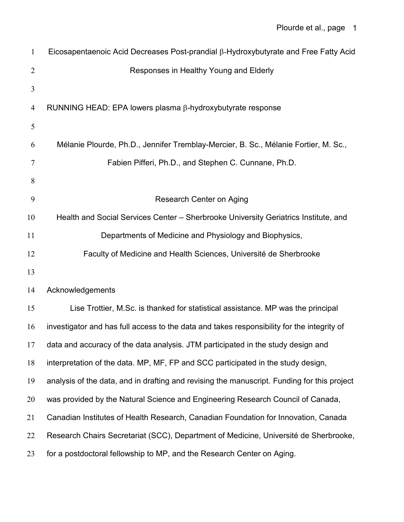| $\mathbf{1}$   | Eicosapentaenoic Acid Decreases Post-prandial $\beta$ -Hydroxybutyrate and Free Fatty Acid  |
|----------------|---------------------------------------------------------------------------------------------|
| $\overline{2}$ | Responses in Healthy Young and Elderly                                                      |
| 3              |                                                                                             |
| 4              | RUNNING HEAD: EPA lowers plasma $\beta$ -hydroxybutyrate response                           |
| 5              |                                                                                             |
| 6              | Mélanie Plourde, Ph.D., Jennifer Tremblay-Mercier, B. Sc., Mélanie Fortier, M. Sc.,         |
| 7              | Fabien Pifferi, Ph.D., and Stephen C. Cunnane, Ph.D.                                        |
| 8              |                                                                                             |
| 9              | Research Center on Aging                                                                    |
| 10             | Health and Social Services Center – Sherbrooke University Geriatrics Institute, and         |
| 11             | Departments of Medicine and Physiology and Biophysics,                                      |
| 12             | Faculty of Medicine and Health Sciences, Université de Sherbrooke                           |
| 13             |                                                                                             |
| 14             | Acknowledgements                                                                            |
| 15             | Lise Trottier, M.Sc. is thanked for statistical assistance. MP was the principal            |
| 16             | investigator and has full access to the data and takes responsibility for the integrity of  |
| 17             | data and accuracy of the data analysis. JTM participated in the study design and            |
| 18             | interpretation of the data. MP, MF, FP and SCC participated in the study design,            |
| 19             | analysis of the data, and in drafting and revising the manuscript. Funding for this project |
| 20             | was provided by the Natural Science and Engineering Research Council of Canada,             |
| 21             | Canadian Institutes of Health Research, Canadian Foundation for Innovation, Canada          |
| 22             | Research Chairs Secretariat (SCC), Department of Medicine, Université de Sherbrooke,        |
| 23             | for a postdoctoral fellowship to MP, and the Research Center on Aging.                      |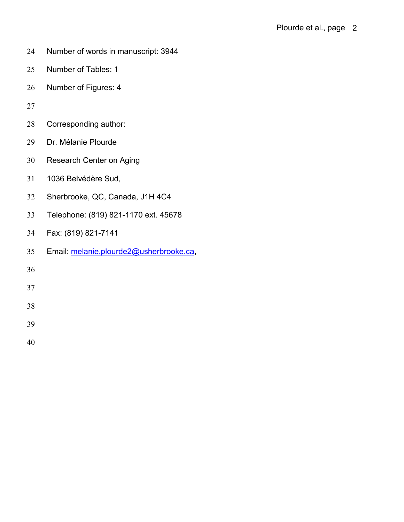- Number of words in manuscript: 3944
- Number of Tables: 1
- Number of Figures: 4
- 
- Corresponding author:
- Dr. Mélanie Plourde
- Research Center on Aging
- 1036 Belvédère Sud,
- Sherbrooke, QC, Canada, J1H 4C4
- Telephone: (819) 821-1170 ext. 45678
- Fax: (819) 821-7141
- Email: [melanie.plourde2@usherbrooke.ca,](mailto:melanie.plourde2@usherbrooke.ca)

- 
- 
- 
- 
-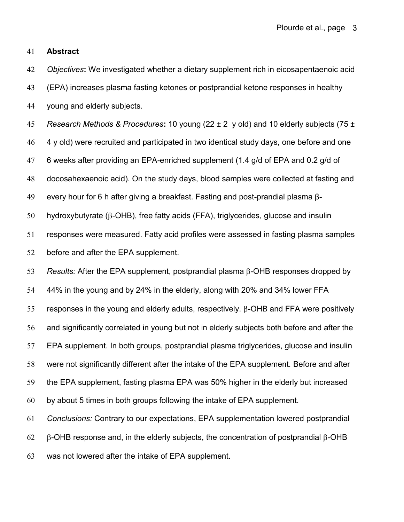## **Abstract**

 *Objectives***:** We investigated whether a dietary supplement rich in eicosapentaenoic acid (EPA) increases plasma fasting ketones or postprandial ketone responses in healthy young and elderly subjects.

 *Research Methods & Procedures***:** 10 young (22 ± 2 y old) and 10 elderly subjects (75 ± 4 y old) were recruited and participated in two identical study days, one before and one 6 weeks after providing an EPA-enriched supplement (1.4 g/d of EPA and 0.2 g/d of docosahexaenoic acid). On the study days, blood samples were collected at fasting and every hour for 6 h after giving a breakfast. Fasting and post-prandial plasma β-hydroxybutyrate ( $\beta$ -OHB), free fatty acids (FFA), triglycerides, glucose and insulin

 responses were measured. Fatty acid profiles were assessed in fasting plasma samples before and after the EPA supplement.

53 Results: After the EPA supplement, postprandial plasma  $\beta$ -OHB responses dropped by 44% in the young and by 24% in the elderly, along with 20% and 34% lower FFA 55 responses in the young and elderly adults, respectively.  $\beta$ -OHB and FFA were positively and significantly correlated in young but not in elderly subjects both before and after the EPA supplement. In both groups, postprandial plasma triglycerides, glucose and insulin were not significantly different after the intake of the EPA supplement. Before and after the EPA supplement, fasting plasma EPA was 50% higher in the elderly but increased by about 5 times in both groups following the intake of EPA supplement.

 *Conclusions:* Contrary to our expectations, EPA supplementation lowered postprandial 62  $\beta$ -OHB response and, in the elderly subjects, the concentration of postprandial  $\beta$ -OHB was not lowered after the intake of EPA supplement.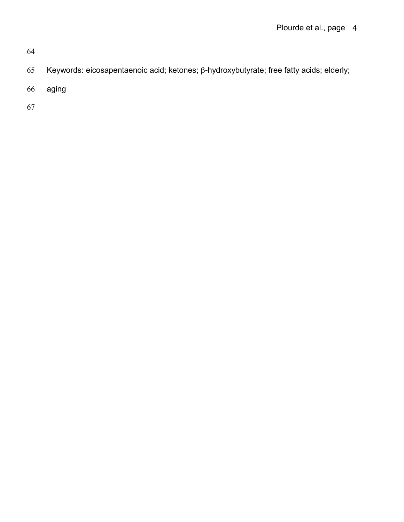- 65 Keywords: eicosapentaenoic acid; ketones;  $\beta$ -hydroxybutyrate; free fatty acids; elderly;
- 66 aging
- 67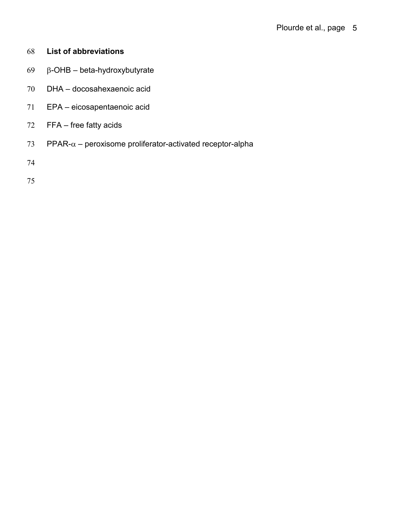- **List of abbreviations**
- 69  $\beta$ -OHB beta-hydroxybutyrate
- DHA docosahexaenoic acid
- EPA eicosapentaenoic acid
- FFA free fatty acids
- 73 PPAR- $\alpha$  peroxisome proliferator-activated receptor-alpha
- 
-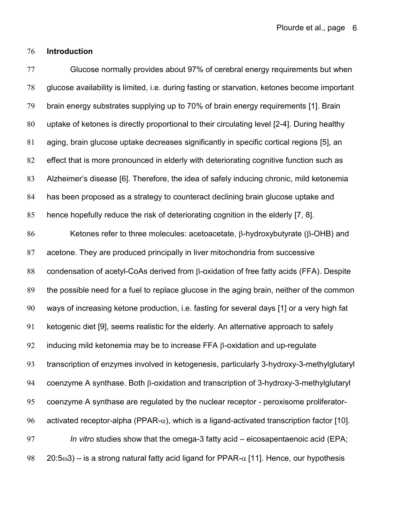# **Introduction**

 Glucose normally provides about 97% of cerebral energy requirements but when glucose availability is limited, i.e. during fasting or starvation, ketones become important brain energy substrates supplying up to 70% of brain energy requirements [1]. Brain uptake of ketones is directly proportional to their circulating level [2-4]. During healthy aging, brain glucose uptake decreases significantly in specific cortical regions [5], an effect that is more pronounced in elderly with deteriorating cognitive function such as Alzheimer's disease [6]. Therefore, the idea of safely inducing chronic, mild ketonemia has been proposed as a strategy to counteract declining brain glucose uptake and hence hopefully reduce the risk of deteriorating cognition in the elderly [7, 8]. 86 Ketones refer to three molecules: acetoacetate,  $\beta$ -hydroxybutyrate ( $\beta$ -OHB) and acetone. They are produced principally in liver mitochondria from successive 88 condensation of acetyl-CoAs derived from B-oxidation of free fatty acids (FFA). Despite the possible need for a fuel to replace glucose in the aging brain, neither of the common ways of increasing ketone production, i.e. fasting for several days [1] or a very high fat ketogenic diet [9], seems realistic for the elderly. An alternative approach to safely 92 inducing mild ketonemia may be to increase FFA  $\beta$ -oxidation and up-regulate transcription of enzymes involved in ketogenesis, particularly 3-hydroxy-3-methylglutaryl

94 coenzyme A synthase. Both  $\beta$ -oxidation and transcription of 3-hydroxy-3-methylglutaryl coenzyme A synthase are regulated by the nuclear receptor - peroxisome proliferator-96 activated receptor-alpha (PPAR- $\alpha$ ), which is a ligand-activated transcription factor [10]. *In vitro* studies show that the omega-3 fatty acid – eicosapentaenoic acid (EPA; 98 20:5 $\omega$ 3) – is a strong natural fatty acid ligand for PPAR- $\alpha$  [11]. Hence, our hypothesis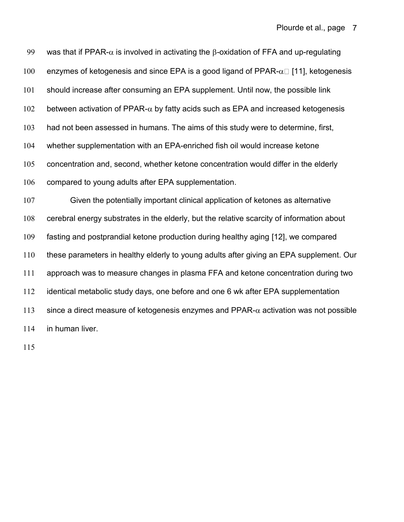99 was that if PPAR- $\alpha$  is involved in activating the  $\beta$ -oxidation of FFA and up-regulating 100 enzymes of ketogenesis and since EPA is a good ligand of PPAR- $\alpha$  [11], ketogenesis should increase after consuming an EPA supplement. Until now, the possible link 102 between activation of PPAR- $\alpha$  by fatty acids such as EPA and increased ketogenesis had not been assessed in humans. The aims of this study were to determine, first, whether supplementation with an EPA-enriched fish oil would increase ketone concentration and, second, whether ketone concentration would differ in the elderly compared to young adults after EPA supplementation.

 Given the potentially important clinical application of ketones as alternative cerebral energy substrates in the elderly, but the relative scarcity of information about fasting and postprandial ketone production during healthy aging [12], we compared these parameters in healthy elderly to young adults after giving an EPA supplement. Our approach was to measure changes in plasma FFA and ketone concentration during two identical metabolic study days, one before and one 6 wk after EPA supplementation 113 since a direct measure of ketogenesis enzymes and PPAR- $\alpha$  activation was not possible in human liver.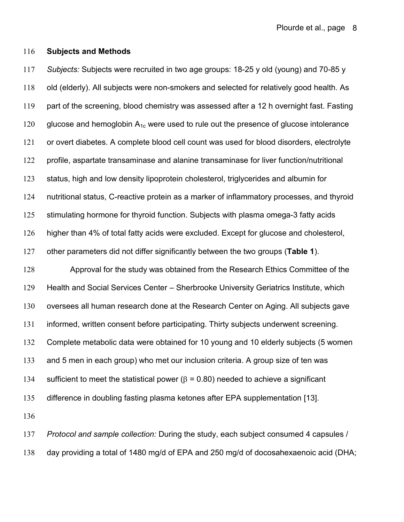#### **Subjects and Methods**

 *Subjects:* Subjects were recruited in two age groups: 18-25 y old (young) and 70-85 y old (elderly). All subjects were non-smokers and selected for relatively good health. As part of the screening, blood chemistry was assessed after a 12 h overnight fast. Fasting 120 glucose and hemoglobin  $A_{1c}$  were used to rule out the presence of glucose intolerance or overt diabetes. A complete blood cell count was used for blood disorders, electrolyte profile, aspartate transaminase and alanine transaminase for liver function/nutritional status, high and low density lipoprotein cholesterol, triglycerides and albumin for nutritional status, C-reactive protein as a marker of inflammatory processes, and thyroid stimulating hormone for thyroid function. Subjects with plasma omega-3 fatty acids higher than 4% of total fatty acids were excluded. Except for glucose and cholesterol, other parameters did not differ significantly between the two groups (**Table 1**). Approval for the study was obtained from the Research Ethics Committee of the Health and Social Services Center – Sherbrooke University Geriatrics Institute, which oversees all human research done at the Research Center on Aging. All subjects gave informed, written consent before participating. Thirty subjects underwent screening. Complete metabolic data were obtained for 10 young and 10 elderly subjects (5 women and 5 men in each group) who met our inclusion criteria. A group size of ten was 134 sufficient to meet the statistical power ( $\beta$  = 0.80) needed to achieve a significant difference in doubling fasting plasma ketones after EPA supplementation [13]. 

 *Protocol and sample collection:* During the study, each subject consumed 4 capsules / day providing a total of 1480 mg/d of EPA and 250 mg/d of docosahexaenoic acid (DHA;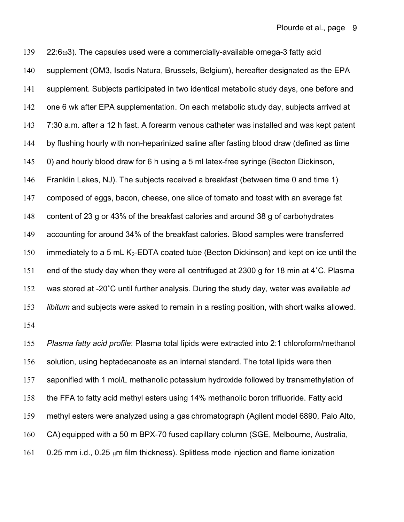22:6 $\omega$ 3). The capsules used were a commercially-available omega-3 fatty acid supplement (OM3, Isodis Natura, Brussels, Belgium), hereafter designated as the EPA supplement. Subjects participated in two identical metabolic study days, one before and one 6 wk after EPA supplementation. On each metabolic study day, subjects arrived at 7:30 a.m. after a 12 h fast. A forearm venous catheter was installed and was kept patent by flushing hourly with non-heparinized saline after fasting blood draw (defined as time 0) and hourly blood draw for 6 h using a 5 ml latex-free syringe (Becton Dickinson, Franklin Lakes, NJ). The subjects received a breakfast (between time 0 and time 1) composed of eggs, bacon, cheese, one slice of tomato and toast with an average fat content of 23 g or 43% of the breakfast calories and around 38 g of carbohydrates accounting for around 34% of the breakfast calories. Blood samples were transferred 150 immediately to a 5 mL K<sub>2</sub>-EDTA coated tube (Becton Dickinson) and kept on ice until the end of the study day when they were all centrifuged at 2300 g for 18 min at 4˚C. Plasma was stored at -20˚C until further analysis. During the study day, water was available *ad libitum* and subjects were asked to remain in a resting position, with short walks allowed. 

 *Plasma fatty acid profile*: Plasma total lipids were extracted into 2:1 chloroform/methanol solution, using heptadecanoate as an internal standard. The total lipids were then saponified with 1 mol/L methanolic potassium hydroxide followed by transmethylation of the FFA to fatty acid methyl esters using 14% methanolic boron trifluoride. Fatty acid methyl esters were analyzed using a gas chromatograph (Agilent model 6890, Palo Alto, CA) equipped with a 50 m BPX-70 fused capillary column (SGE, Melbourne, Australia, 161 0.25 mm i.d., 0.25  $\mu$ m film thickness). Splitless mode injection and flame ionization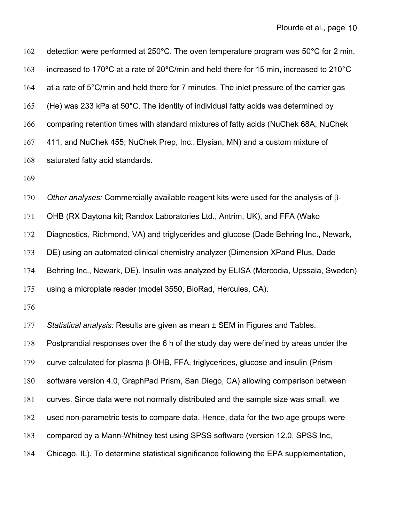| 162 | detection were performed at 250°C. The oven temperature program was 50°C for 2 min,         |
|-----|---------------------------------------------------------------------------------------------|
| 163 | increased to 170°C at a rate of 20°C/min and held there for 15 min, increased to 210°C      |
| 164 | at a rate of 5°C/min and held there for 7 minutes. The inlet pressure of the carrier gas    |
| 165 | (He) was 233 kPa at 50°C. The identity of individual fatty acids was determined by          |
| 166 | comparing retention times with standard mixtures of fatty acids (NuChek 68A, NuChek         |
| 167 | 411, and NuChek 455; NuChek Prep, Inc., Elysian, MN) and a custom mixture of                |
| 168 | saturated fatty acid standards.                                                             |
| 169 |                                                                                             |
| 170 | Other analyses: Commercially available reagent kits were used for the analysis of $\beta$ - |
| 171 | OHB (RX Daytona kit; Randox Laboratories Ltd., Antrim, UK), and FFA (Wako                   |
| 172 | Diagnostics, Richmond, VA) and triglycerides and glucose (Dade Behring Inc., Newark,        |
| 173 | DE) using an automated clinical chemistry analyzer (Dimension XPand Plus, Dade              |
| 174 | Behring Inc., Newark, DE). Insulin was analyzed by ELISA (Mercodia, Upssala, Sweden)        |
| 175 | using a microplate reader (model 3550, BioRad, Hercules, CA).                               |
| 176 |                                                                                             |
| 177 | Statistical analysis: Results are given as mean ± SEM in Figures and Tables.                |
| 178 | Postprandial responses over the 6 h of the study day were defined by areas under the        |
| 179 | curve calculated for plasma $\beta$ -OHB, FFA, triglycerides, glucose and insulin (Prism    |
| 180 | software version 4.0, GraphPad Prism, San Diego, CA) allowing comparison between            |
| 181 | curves. Since data were not normally distributed and the sample size was small, we          |
| 182 | used non-parametric tests to compare data. Hence, data for the two age groups were          |
| 183 | compared by a Mann-Whitney test using SPSS software (version 12.0, SPSS Inc,                |
| 184 | Chicago, IL). To determine statistical significance following the EPA supplementation,      |
|     |                                                                                             |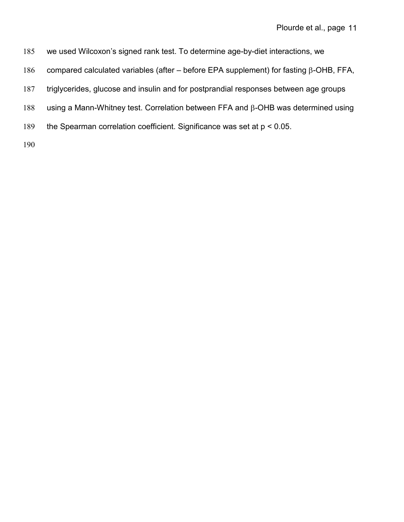- 185 we used Wilcoxon's signed rank test. To determine age-by-diet interactions, we
- 186 compared calculated variables (after before EPA supplement) for fasting  $\beta$ -OHB, FFA,
- 187 triglycerides, glucose and insulin and for postprandial responses between age groups
- 188 using a Mann-Whitney test. Correlation between FFA and  $\beta$ -OHB was determined using
- 189 the Spearman correlation coefficient. Significance was set at p < 0.05.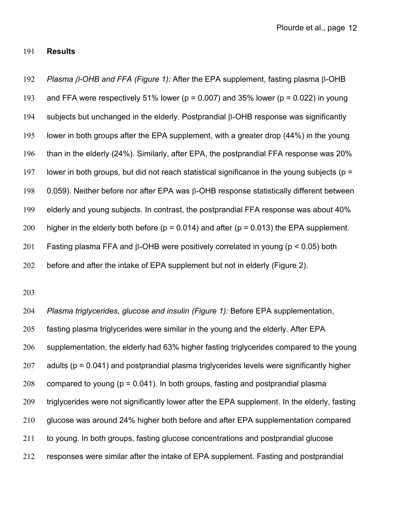## 191 **Results**

192 *Plasma*  $\beta$ *-OHB and FFA (Figure 1):* After the EPA supplement, fasting plasma  $\beta$ -OHB 193 and FFA were respectively 51% lower ( $p = 0.007$ ) and 35% lower ( $p = 0.022$ ) in young 194 subjects but unchanged in the elderly. Postprandial  $\beta$ -OHB response was significantly 195 lower in both groups after the EPA supplement, with a greater drop (44%) in the young 196 than in the elderly (24%). Similarly, after EPA, the postprandial FFA response was 20% 197 lower in both groups, but did not reach statistical significance in the young subjects ( $p =$ 198 0.059). Neither before nor after EPA was  $\beta$ -OHB response statistically different between 199 elderly and young subjects. In contrast, the postprandial FFA response was about 40% 200 higher in the elderly both before ( $p = 0.014$ ) and after ( $p = 0.013$ ) the EPA supplement. 201 Fasting plasma FFA and  $\beta$ -OHB were positively correlated in young (p < 0.05) both 202 before and after the intake of EPA supplement but not in elderly (Figure 2).

203

 *Plasma triglycerides, glucose and insulin (Figure 1):* Before EPA supplementation, fasting plasma triglycerides were similar in the young and the elderly. After EPA supplementation, the elderly had 63% higher fasting triglycerides compared to the young 207 adults ( $p = 0.041$ ) and postprandial plasma triglycerides levels were significantly higher 208 compared to young ( $p = 0.041$ ). In both groups, fasting and postprandial plasma triglycerides were not significantly lower after the EPA supplement. In the elderly, fasting 210 glucose was around 24% higher both before and after EPA supplementation compared to young. In both groups, fasting glucose concentrations and postprandial glucose responses were similar after the intake of EPA supplement. Fasting and postprandial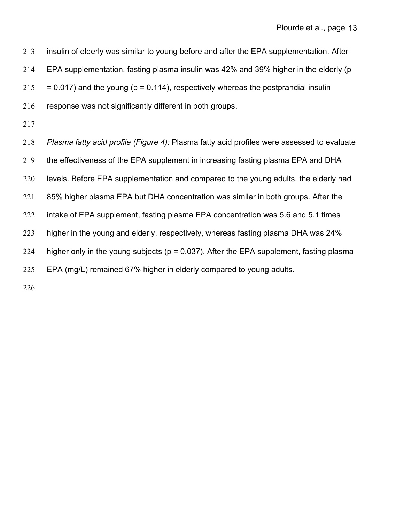insulin of elderly was similar to young before and after the EPA supplementation. After EPA supplementation, fasting plasma insulin was 42% and 39% higher in the elderly (p  $215 = 0.017$  and the young (p = 0.114), respectively whereas the postprandial insulin 216 response was not significantly different in both groups. *Plasma fatty acid profile (Figure 4):* Plasma fatty acid profiles were assessed to evaluate the effectiveness of the EPA supplement in increasing fasting plasma EPA and DHA levels. Before EPA supplementation and compared to the young adults, the elderly had 85% higher plasma EPA but DHA concentration was similar in both groups. After the intake of EPA supplement, fasting plasma EPA concentration was 5.6 and 5.1 times higher in the young and elderly, respectively, whereas fasting plasma DHA was 24% 224 higher only in the young subjects ( $p = 0.037$ ). After the EPA supplement, fasting plasma EPA (mg/L) remained 67% higher in elderly compared to young adults.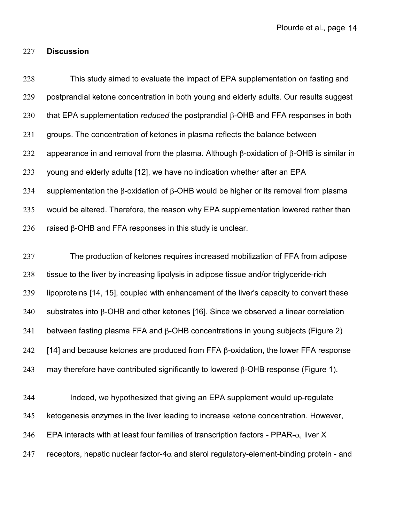## 227 **Discussion**

228 This study aimed to evaluate the impact of EPA supplementation on fasting and 229 postprandial ketone concentration in both young and elderly adults. Our results suggest 230 that EPA supplementation *reduced* the postprandial  $\beta$ -OHB and FFA responses in both 231 groups. The concentration of ketones in plasma reflects the balance between 232 appearance in and removal from the plasma. Although  $\beta$ -oxidation of  $\beta$ -OHB is similar in 233 young and elderly adults [12], we have no indication whether after an EPA 234 supplementation the  $\beta$ -oxidation of  $\beta$ -OHB would be higher or its removal from plasma 235 would be altered. Therefore, the reason why EPA supplementation lowered rather than 236 raised  $\beta$ -OHB and FFA responses in this study is unclear. 237 The production of ketones requires increased mobilization of FFA from adipose

238 tissue to the liver by increasing lipolysis in adipose tissue and/or triglyceride-rich 239 lipoproteins [14, 15], coupled with enhancement of the liver's capacity to convert these 240 substrates into  $\beta$ -OHB and other ketones [16]. Since we observed a linear correlation 241 between fasting plasma FFA and  $\beta$ -OHB concentrations in young subjects (Figure 2) 242 [14] and because ketones are produced from FFA  $\beta$ -oxidation, the lower FFA response 243 may therefore have contributed significantly to lowered  $\beta$ -OHB response (Figure 1).

244 Indeed, we hypothesized that giving an EPA supplement would up-regulate 245 ketogenesis enzymes in the liver leading to increase ketone concentration. However, 246 EPA interacts with at least four families of transcription factors - PPAR- $\alpha$ , liver X 247 receptors, hepatic nuclear factor-4 $\alpha$  and sterol regulatory-element-binding protein - and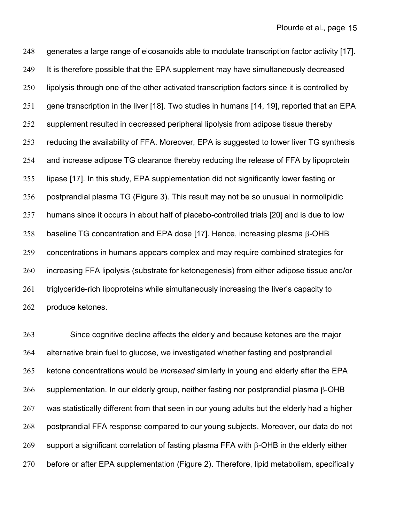248 generates a large range of eicosanoids able to modulate transcription factor activity [17]. 249 It is therefore possible that the EPA supplement may have simultaneously decreased lipolysis through one of the other activated transcription factors since it is controlled by 251 gene transcription in the liver [18]. Two studies in humans [14, 19], reported that an EPA supplement resulted in decreased peripheral lipolysis from adipose tissue thereby reducing the availability of FFA. Moreover, EPA is suggested to lower liver TG synthesis and increase adipose TG clearance thereby reducing the release of FFA by lipoprotein lipase [17]. In this study, EPA supplementation did not significantly lower fasting or postprandial plasma TG (Figure 3). This result may not be so unusual in normolipidic humans since it occurs in about half of placebo-controlled trials [20] and is due to low 258 baseline TG concentration and EPA dose [17]. Hence, increasing plasma  $\beta$ -OHB concentrations in humans appears complex and may require combined strategies for increasing FFA lipolysis (substrate for ketonegenesis) from either adipose tissue and/or 261 triglyceride-rich lipoproteins while simultaneously increasing the liver's capacity to produce ketones.

 Since cognitive decline affects the elderly and because ketones are the major alternative brain fuel to glucose, we investigated whether fasting and postprandial ketone concentrations would be *increased* similarly in young and elderly after the EPA 266 supplementation. In our elderly group, neither fasting nor postprandial plasma  $\beta$ -OHB 267 was statistically different from that seen in our young adults but the elderly had a higher postprandial FFA response compared to our young subjects. Moreover, our data do not 269 support a significant correlation of fasting plasma FFA with  $\beta$ -OHB in the elderly either before or after EPA supplementation (Figure 2). Therefore, lipid metabolism, specifically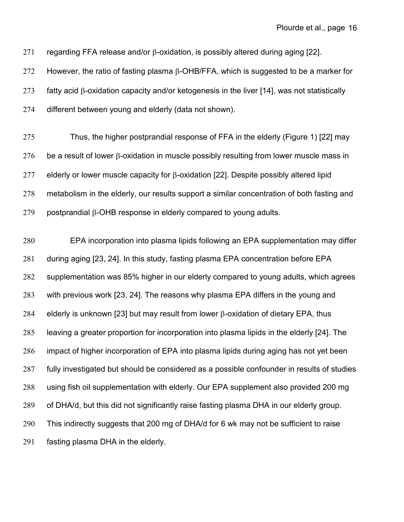271 regarding FFA release and/or  $\beta$ -oxidation, is possibly altered during aging [22].

272 However, the ratio of fasting plasma  $\beta$ -OHB/FFA, which is suggested to be a marker for

273 fatty acid  $\beta$ -oxidation capacity and/or ketogenesis in the liver [14], was not statistically

different between young and elderly (data not shown).

 Thus, the higher postprandial response of FFA in the elderly (Figure 1) [22] may 276 be a result of lower  $\beta$ -oxidation in muscle possibly resulting from lower muscle mass in 277 elderly or lower muscle capacity for  $\beta$ -oxidation [22]. Despite possibly altered lipid 278 metabolism in the elderly, our results support a similar concentration of both fasting and postprandial  $\beta$ -OHB response in elderly compared to young adults.

 EPA incorporation into plasma lipids following an EPA supplementation may differ during aging [23, 24]. In this study, fasting plasma EPA concentration before EPA supplementation was 85% higher in our elderly compared to young adults, which agrees with previous work [23, 24]. The reasons why plasma EPA differs in the young and 284 elderly is unknown [23] but may result from lower  $\beta$ -oxidation of dietary EPA, thus leaving a greater proportion for incorporation into plasma lipids in the elderly [24]. The impact of higher incorporation of EPA into plasma lipids during aging has not yet been fully investigated but should be considered as a possible confounder in results of studies using fish oil supplementation with elderly. Our EPA supplement also provided 200 mg of DHA/d, but this did not significantly raise fasting plasma DHA in our elderly group. This indirectly suggests that 200 mg of DHA/d for 6 wk may not be sufficient to raise fasting plasma DHA in the elderly.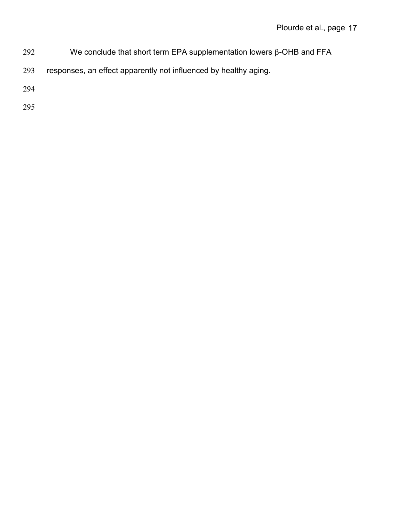- 292 We conclude that short term EPA supplementation lowers  $\beta$ -OHB and FFA
- 293 responses, an effect apparently not influenced by healthy aging.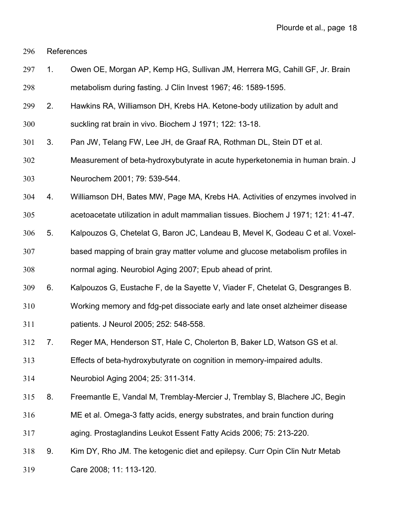References

- 1. Owen OE, Morgan AP, Kemp HG, Sullivan JM, Herrera MG, Cahill GF, Jr. Brain metabolism during fasting. J Clin Invest 1967; 46: 1589-1595.
- 2. Hawkins RA, Williamson DH, Krebs HA. Ketone-body utilization by adult and
- suckling rat brain in vivo. Biochem J 1971; 122: 13-18.
- 3. Pan JW, Telang FW, Lee JH, de Graaf RA, Rothman DL, Stein DT et al.
- Measurement of beta-hydroxybutyrate in acute hyperketonemia in human brain. J Neurochem 2001; 79: 539-544.
- 4. Williamson DH, Bates MW, Page MA, Krebs HA. Activities of enzymes involved in

acetoacetate utilization in adult mammalian tissues. Biochem J 1971; 121: 41-47.

 5. Kalpouzos G, Chetelat G, Baron JC, Landeau B, Mevel K, Godeau C et al. Voxel-based mapping of brain gray matter volume and glucose metabolism profiles in

normal aging. Neurobiol Aging 2007; Epub ahead of print.

- 6. Kalpouzos G, Eustache F, de la Sayette V, Viader F, Chetelat G, Desgranges B.
- Working memory and fdg-pet dissociate early and late onset alzheimer disease
- patients. J Neurol 2005; 252: 548-558.
- 7. Reger MA, Henderson ST, Hale C, Cholerton B, Baker LD, Watson GS et al.

Effects of beta-hydroxybutyrate on cognition in memory-impaired adults.

- Neurobiol Aging 2004; 25: 311-314.
- 8. Freemantle E, Vandal M, Tremblay-Mercier J, Tremblay S, Blachere JC, Begin
- ME et al. Omega-3 fatty acids, energy substrates, and brain function during
- aging. Prostaglandins Leukot Essent Fatty Acids 2006; 75: 213-220.
- 9. Kim DY, Rho JM. The ketogenic diet and epilepsy. Curr Opin Clin Nutr Metab
- Care 2008; 11: 113-120.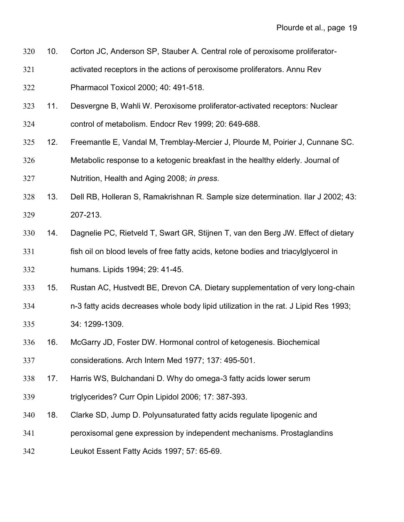- 10. Corton JC, Anderson SP, Stauber A. Central role of peroxisome proliferator-
- activated receptors in the actions of peroxisome proliferators. Annu Rev
- Pharmacol Toxicol 2000; 40: 491-518.
- 11. Desvergne B, Wahli W. Peroxisome proliferator-activated receptors: Nuclear
- control of metabolism. Endocr Rev 1999; 20: 649-688.
- 12. Freemantle E, Vandal M, Tremblay-Mercier J, Plourde M, Poirier J, Cunnane SC.
- Metabolic response to a ketogenic breakfast in the healthy elderly. Journal of Nutrition, Health and Aging 2008; *in press*.
- 13. Dell RB, Holleran S, Ramakrishnan R. Sample size determination. Ilar J 2002; 43: 207-213.
- 14. Dagnelie PC, Rietveld T, Swart GR, Stijnen T, van den Berg JW. Effect of dietary fish oil on blood levels of free fatty acids, ketone bodies and triacylglycerol in humans. Lipids 1994; 29: 41-45.
- 15. Rustan AC, Hustvedt BE, Drevon CA. Dietary supplementation of very long-chain
- n-3 fatty acids decreases whole body lipid utilization in the rat. J Lipid Res 1993;
- 34: 1299-1309.
- 16. McGarry JD, Foster DW. Hormonal control of ketogenesis. Biochemical considerations. Arch Intern Med 1977; 137: 495-501.
- 17. Harris WS, Bulchandani D. Why do omega-3 fatty acids lower serum
- triglycerides? Curr Opin Lipidol 2006; 17: 387-393.
- 18. Clarke SD, Jump D. Polyunsaturated fatty acids regulate lipogenic and
- peroxisomal gene expression by independent mechanisms. Prostaglandins
- Leukot Essent Fatty Acids 1997; 57: 65-69.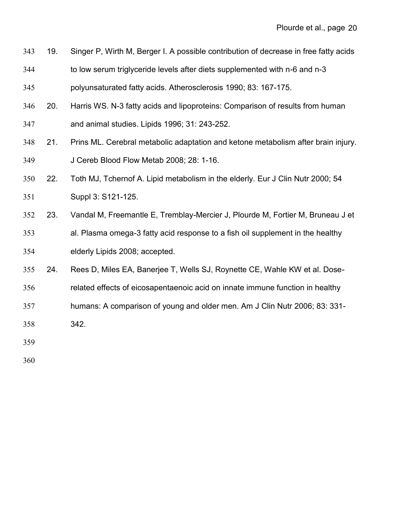| 343 | 19. | Singer P, Wirth M, Berger I. A possible contribution of decrease in free fatty acids |
|-----|-----|--------------------------------------------------------------------------------------|
| 344 |     | to low serum triglyceride levels after diets supplemented with n-6 and n-3           |
| 345 |     | polyunsaturated fatty acids. Atherosclerosis 1990; 83: 167-175.                      |
| 346 | 20. | Harris WS. N-3 fatty acids and lipoproteins: Comparison of results from human        |
| 347 |     | and animal studies. Lipids 1996; 31: 243-252.                                        |
| 348 | 21. | Prins ML. Cerebral metabolic adaptation and ketone metabolism after brain injury.    |
| 349 |     | J Cereb Blood Flow Metab 2008; 28: 1-16.                                             |
| 350 | 22. | Toth MJ, Tchernof A. Lipid metabolism in the elderly. Eur J Clin Nutr 2000; 54       |
| 351 |     | Suppl 3: S121-125.                                                                   |
| 352 | 23. | Vandal M, Freemantle E, Tremblay-Mercier J, Plourde M, Fortier M, Bruneau J et       |
| 353 |     | al. Plasma omega-3 fatty acid response to a fish oil supplement in the healthy       |
| 354 |     | elderly Lipids 2008; accepted.                                                       |
| 355 | 24. | Rees D, Miles EA, Banerjee T, Wells SJ, Roynette CE, Wahle KW et al. Dose-           |
| 356 |     | related effects of eicosapentaenoic acid on innate immune function in healthy        |
| 357 |     | humans: A comparison of young and older men. Am J Clin Nutr 2006; 83: 331-           |
| 358 |     | 342.                                                                                 |
| 250 |     |                                                                                      |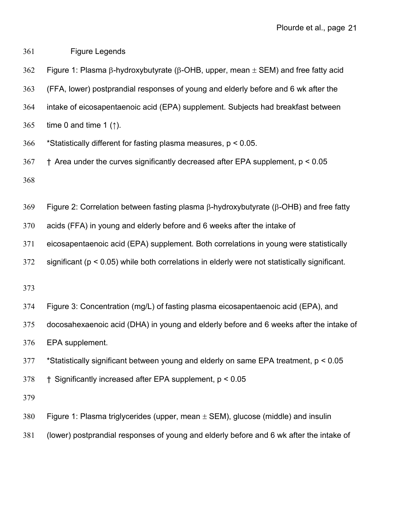Figure Legends

362 Figure 1: Plasma  $\beta$ -hydroxybutyrate ( $\beta$ -OHB, upper, mean  $\pm$  SEM) and free fatty acid

(FFA, lower) postprandial responses of young and elderly before and 6 wk after the

- intake of eicosapentaenoic acid (EPA) supplement. Subjects had breakfast between
- time 0 and time 1 (↑).
- \*Statistically different for fasting plasma measures, p < 0.05.
- † Area under the curves significantly decreased after EPA supplement, p < 0.05

369 Figure 2: Correlation between fasting plasma  $\beta$ -hydroxybutyrate ( $\beta$ -OHB) and free fatty

acids (FFA) in young and elderly before and 6 weeks after the intake of

eicosapentaenoic acid (EPA) supplement. Both correlations in young were statistically

significant (p < 0.05) while both correlations in elderly were not statistically significant.

- Figure 3: Concentration (mg/L) of fasting plasma eicosapentaenoic acid (EPA), and
- docosahexaenoic acid (DHA) in young and elderly before and 6 weeks after the intake of

EPA supplement.

\*Statistically significant between young and elderly on same EPA treatment, p < 0.05

† Significantly increased after EPA supplement, p < 0.05

- 380 Figure 1: Plasma triglycerides (upper, mean  $\pm$  SEM), glucose (middle) and insulin
- (lower) postprandial responses of young and elderly before and 6 wk after the intake of